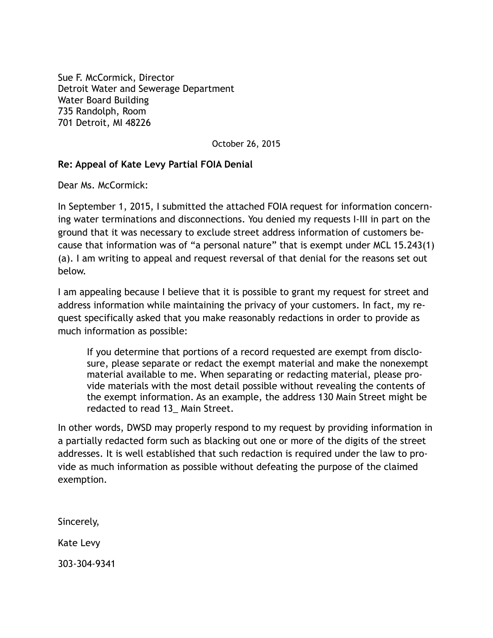[Sue F. McCormick, Director](http://www.dwsd.org/pages_n/emt.html%23mccormick) Detroit Water and Sewerage Department Water Board Building 735 Randolph, Room 701 Detroit, MI 48226

October 26, 2015

## **Re: Appeal of Kate Levy Partial FOIA Denial**

Dear Ms. McCormick:

In September 1, 2015, I submitted the attached FOIA request for information concerning water terminations and disconnections. You denied my requests I-III in part on the ground that it was necessary to exclude street address information of customers because that information was of "a personal nature" that is exempt under MCL 15.243(1) (a). I am writing to appeal and request reversal of that denial for the reasons set out below.

I am appealing because I believe that it is possible to grant my request for street and address information while maintaining the privacy of your customers. In fact, my request specifically asked that you make reasonably redactions in order to provide as much information as possible:

If you determine that portions of a record requested are exempt from disclosure, please separate or redact the exempt material and make the nonexempt material available to me. When separating or redacting material, please provide materials with the most detail possible without revealing the contents of the exempt information. As an example, the address 130 Main Street might be redacted to read 13\_ Main Street.

In other words, DWSD may properly respond to my request by providing information in a partially redacted form such as blacking out one or more of the digits of the street addresses. It is well established that such redaction is required under the law to provide as much information as possible without defeating the purpose of the claimed exemption.

Sincerely, Kate Levy

303-304-9341